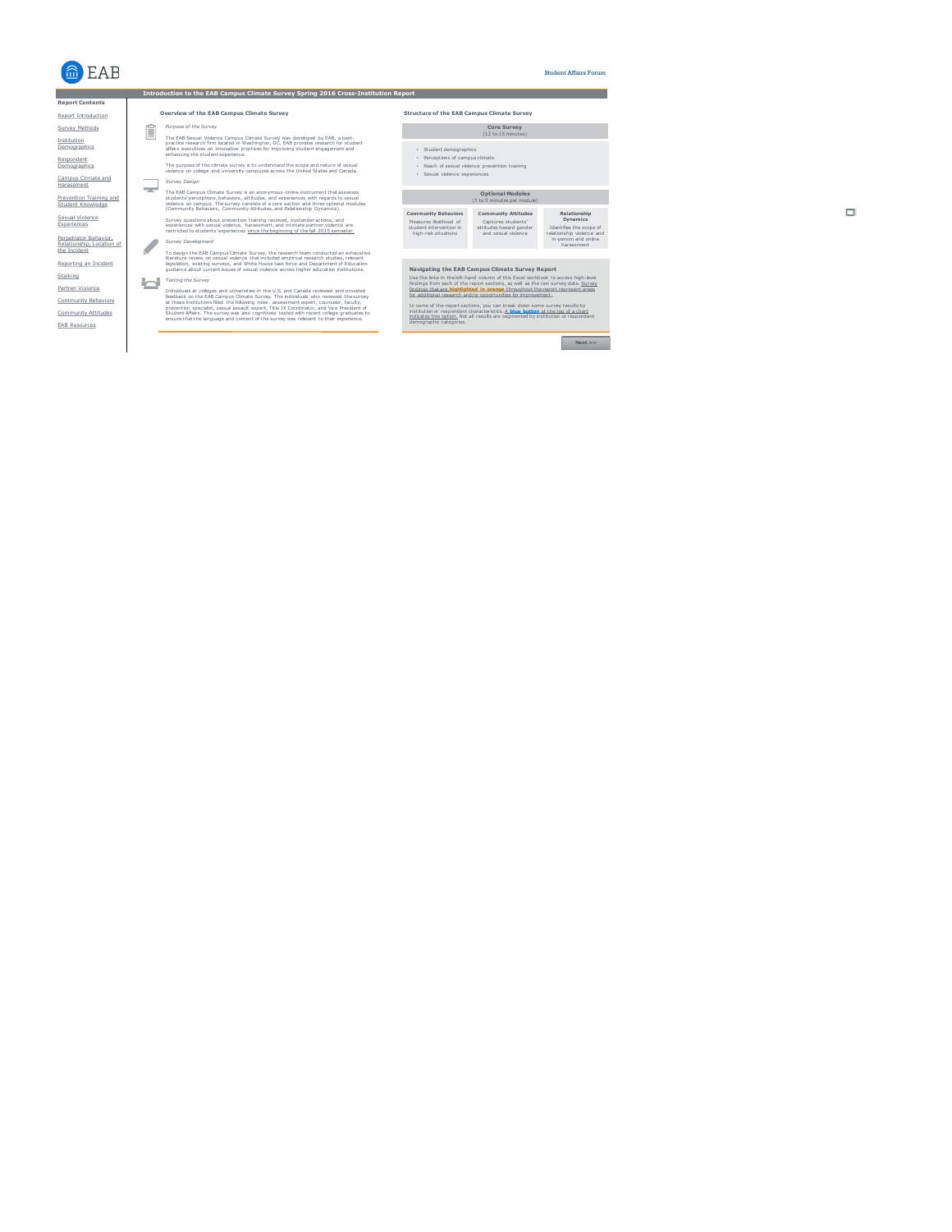

Institution<br>Demographics

Respondent<br>Demographics

Sexual Violence Experiences

Stalking

#### Student Affairs Forum

#### **Introduction to the EAB Campus Climate Survey Spring 2016 Cross-Institution Report** Navigating the EAB Campus Climate Survey Report<br>
Use the links in the EAC work of this Excel workbook to access high-level<br>
Indians from each of the report sections, as well as the raw survey data. Survey<br>
Indians that are *Purpose of the Survey*<br>The EAB Sexual Volence Campus Climate Survey was developed by EAB, a best-<br>practice research firm located in Washington, DC. EAB provides research for student<br>affairs executives on innovative practi The purpose of the climate survey is to understand the scope and nature of sexual violence on college and university campuses across the United States and Canada. *Survey Design*<br>The FAR Campus The EAB Campus Climate Survey is an anonymous online instrument that assesses<br>students' perceptions, behaviors, attitudes, and experiences with regards to sexual<br>violence on campus. The survey consists of a core section an Survey questions about prevention training received, bystander actions, and<br>experiences with sexual violence, harassment, and intimate partner violence are<br>restricted to students' experiences <u>since the beginning of the fa</u> *Survey Development*<br>
Survey Development<br>
To detain To design the EAB Campus Climate Survey, the research team conducted an exhaustive<br>literature review on sexual violence that included empirical research studies, relevant<br>legislation, existing surveys, and White House task *Testing the Survey* Individuals at colleges and universities in the U.S. and Canada reviewed and provided<br>feedback on the EAB Campus Climate Survey. The individuals who reviewed the survey<br>at these institutions filled the following roles: ass **Report Contents** Report Introduction Prevention Training and Student Knowledge Perpetrator Behavior, Relationship, Location of the Incident Reporting an Incident Campus Climate and Harassment Survey Methods Community Attitudes Partner Violence Community Behaviors EAB Resources **Community Behaviors** Measures likelihood of student intervention in high-risk situations **Community Attitudes** Captures students' attitudes toward gender and sexual violence **Relationship Dynamics** Identifies the scope of relationship violence and in-person and online harassment **Optional Modules** (3 to 5 minutes per module) **Core Survey** (12 to 15 minutes) • Student demographics • Perceptions of campus climate • Reach of sexual violence prevention training • Sexual violence experiences **Overview of the EAB Campus Climate Survey Structure of the EAB Campus Climate Survey**



# $\Box$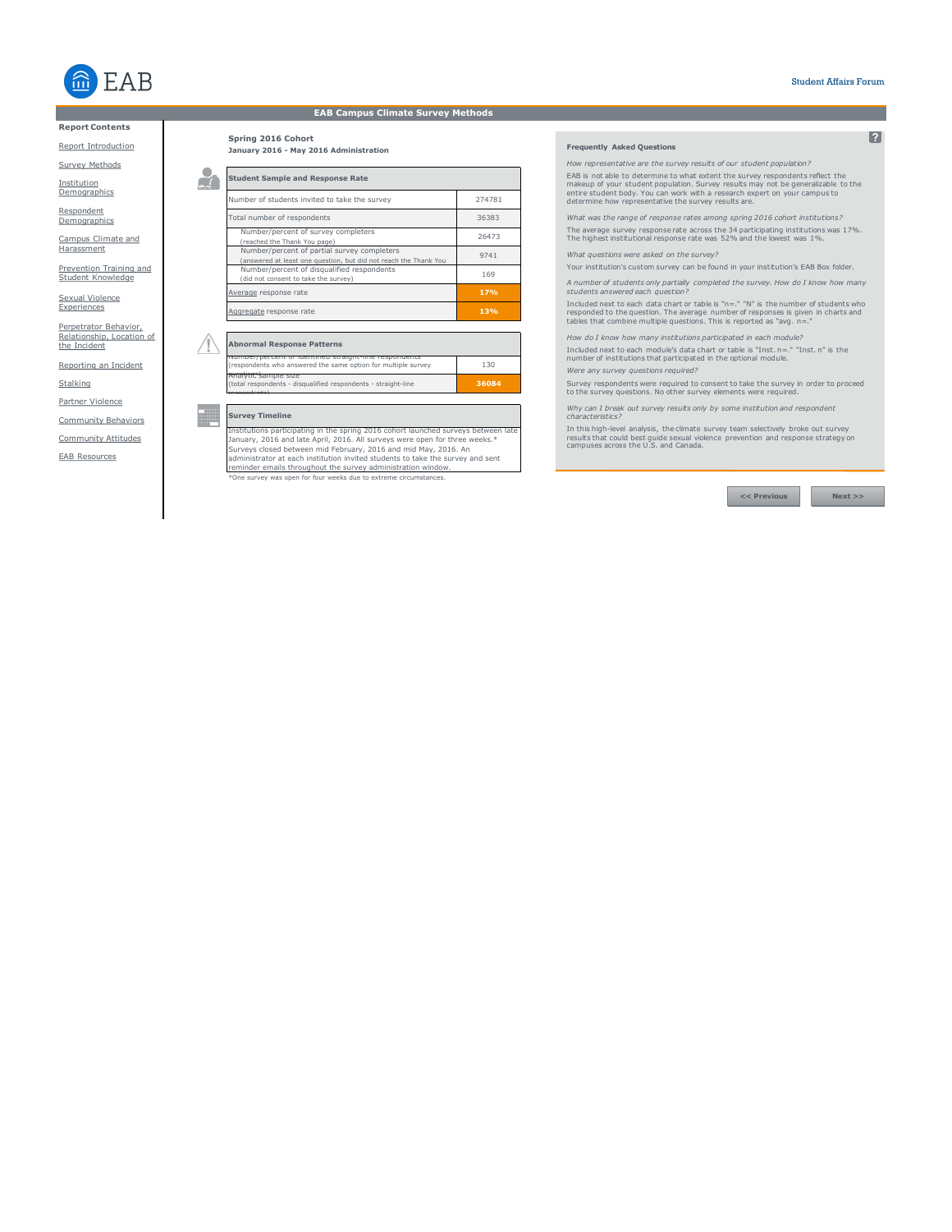

# **EAB Campus Climate Survey Methods**

# **Report Contents**

Report Introduction

Survey Methods

Institution **Demographics** 

Respondent **Demographics** 

Campus Climate and **Harassment** 

Prevention Training and Student Knowledge

Sexual Violence Experiences

Perpetrator Behavior, Relationship, Location of the Incident

Reporting an Incident Stalking

Partner Violence Community Behaviors

Community Attitudes

EAB Resources

**Student Sample and Response Rate** Iumber of students invited to take the survey 274781

**January 2016 - May 2016 Administration** 

**Spring 2016 Cohort** 

 $\mathbf{r}$ 

 $\sqrt{N}$ 

| Aggregate response rate                                                                                        | 13%   |
|----------------------------------------------------------------------------------------------------------------|-------|
| Average response rate                                                                                          | 17%   |
| Number/percent of disqualified respondents<br>(did not consent to take the survey)                             | 169   |
| Number/percent of partial survey completers<br>answered at least one question, but did not reach the Thank You | 9741  |
| Number/percent of survey completers<br>(reached the Thank You page)                                            | 26473 |
| Total number of respondents                                                                                    | 36383 |

| <b>Abnormal Response Patterns</b>                                                                                   |       |
|---------------------------------------------------------------------------------------------------------------------|-------|
| <u>encor identified straight-line respondents.</u><br>(respondents who answered the same option for multiple survey | 130   |
| idivul Salilible Size<br>(total respondents - disqualified respondents - straight-line                              | 36084 |

# **Survey Timeline**

reminder emails throughout the survey administration window.<br>\*One survey was open for four weeks due to extreme circumstances. Institutions participating in the spring 2016 cohort launched surveys between late<br>January, 2016 and late April, 2016. All surveys were open for three weeks.\*<br>Surveys closed between mid February, 2016 and mid May, 2016. An

#### **Frequently Asked Questions**

*How representative are the survey results of our student population?*

EAB is not able to determine to what extent the survey respondents reflect the<br>makeup of your student population. Survey results may not be generalizable to the<br>entire student body. You can work with a research expert on y

*What was the range of response rates among spring 2016 cohort institutions?* The average survey response rate across the 34 participating institutions was 17%.<br>The highest institutional response rate was 52% and the lowest was 1%.

*What questions were asked on the survey?*

Your institution's custom survey can be found in your institution's EAB Box folder.

*A number of students only partially completed the survey. How do I know how many students answered each question?* 

Included next to each data chart or table is "n=." "N" is the number of students who<br>responded to the question. The average number of responses is given in charts and<br>tables that combine multiple questions. This is reporte

*How do I know how many institutions participated in each module?*  Included next to each module's data chart or table is "Inst. n=." "Inst. n" is the

number of institutions that participated in the optional module. *Were any survey questions required?* 

Survey respondents were required to consent to take the survey in order to proceed to the survey questions. No other survey elements were required.

*Why can I break out survey results only by some institution and respondent characteristics?* 

In this high-level analysis, the climate survey team selectively broke out survey results that could best guide sexual violence prevention and response strategy on campuses across the U.S. and Canada.

**<< Previous Next >>**

 $\sqrt{2}$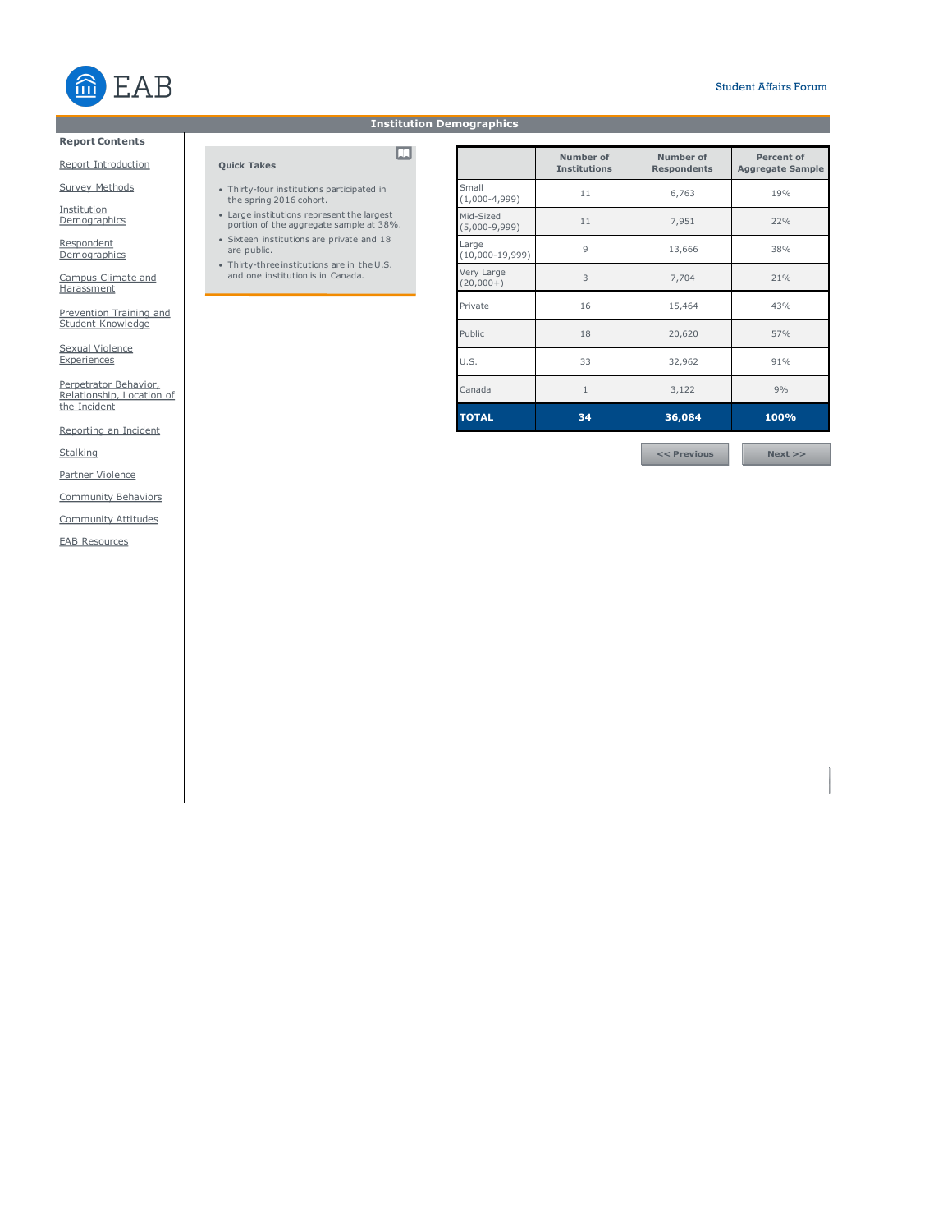

# **Institution Demographics**

 $\blacksquare$ 

# **Report Contents**

Report Introduction

**Quick Takes**

• Thirty-four institutions participated in the spring 2016 cohort.

• Large institutions represent the largest portion of the aggregate sample at 38%. • Sixteen institutions are private and 18 are public. • Thirty-three institutions are in the U.S. and one institution is in Canada.

Survey Methods

Institution **Demographics** 

<u>Respondent</u><br>Demographics

Campus Climate and **Harassment** 

Prevention Training and Student Knowledge

Sexual Violence **Experiences** 

Perpetrator Behavior, Relationship, Location of the Incident

Reporting an Incident

**Stalking** 

Partner Violence

Community Behaviors

Community Attitudes

EAB Resources

|                                | Number of<br><b>Institutions</b> | Number of<br><b>Respondents</b> | Percent of<br><b>Aggregate Sample</b> |
|--------------------------------|----------------------------------|---------------------------------|---------------------------------------|
| Small<br>$(1,000-4,999)$       | 11                               | 6,763                           | 19%                                   |
| Mid-Sized<br>$(5,000-9,999)$   | 11                               | 7,951                           |                                       |
| Large<br>$(10,000-19,999)$     | $\overline{Q}$<br>13,666         |                                 | 38%                                   |
| Very Large<br>3<br>$(20,000+)$ |                                  | 7,704                           | 21%                                   |
| Private                        | 16                               | 15,464                          | 43%                                   |
| Public                         | 18                               | 20,620                          | 57%                                   |
| U.S.<br>33                     |                                  | 32,962                          | 91%                                   |
| Canada                         | $\mathbf{1}$                     | 3,122                           | 9%                                    |
| <b>TOTAL</b>                   | 34                               | 36,084                          | 100%                                  |
|                                |                                  |                                 |                                       |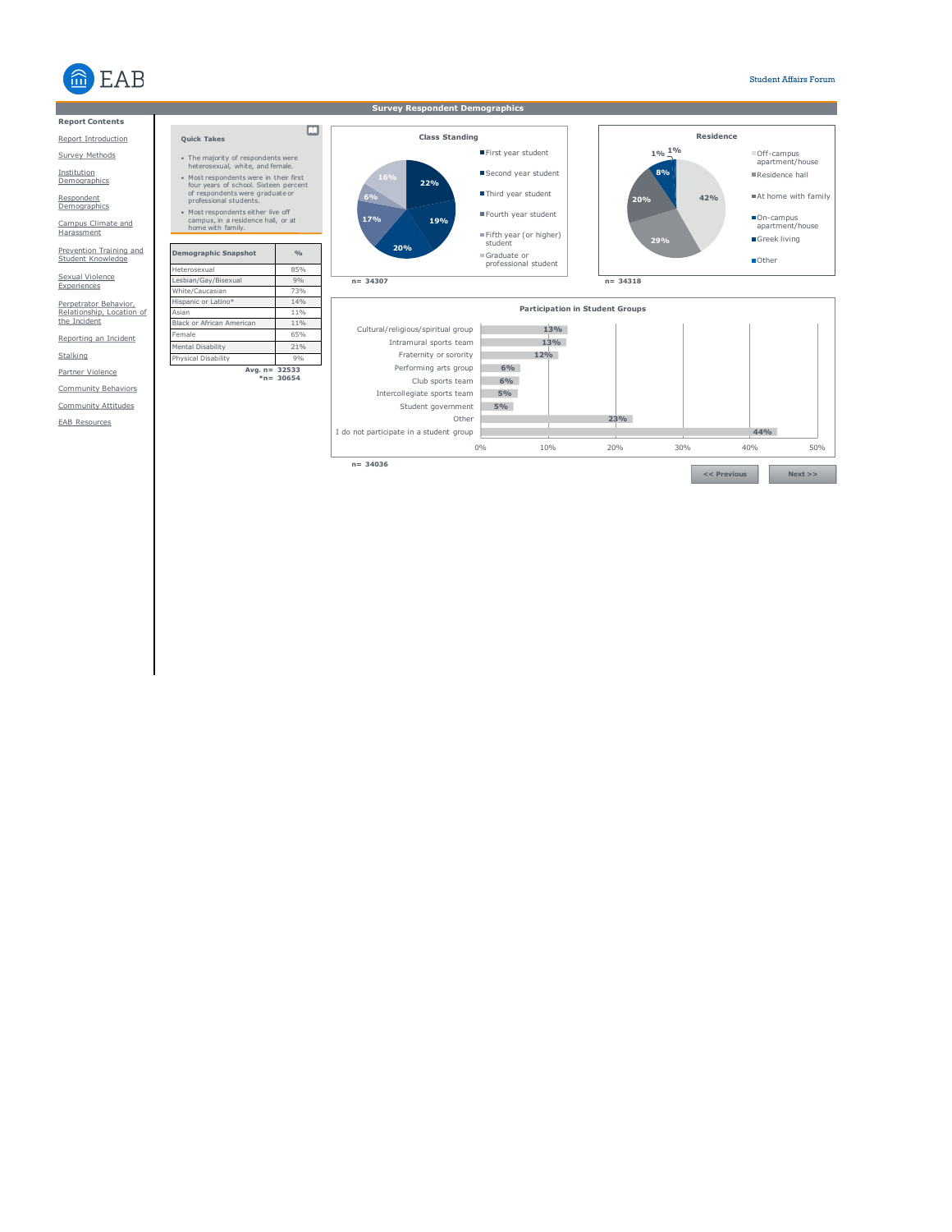

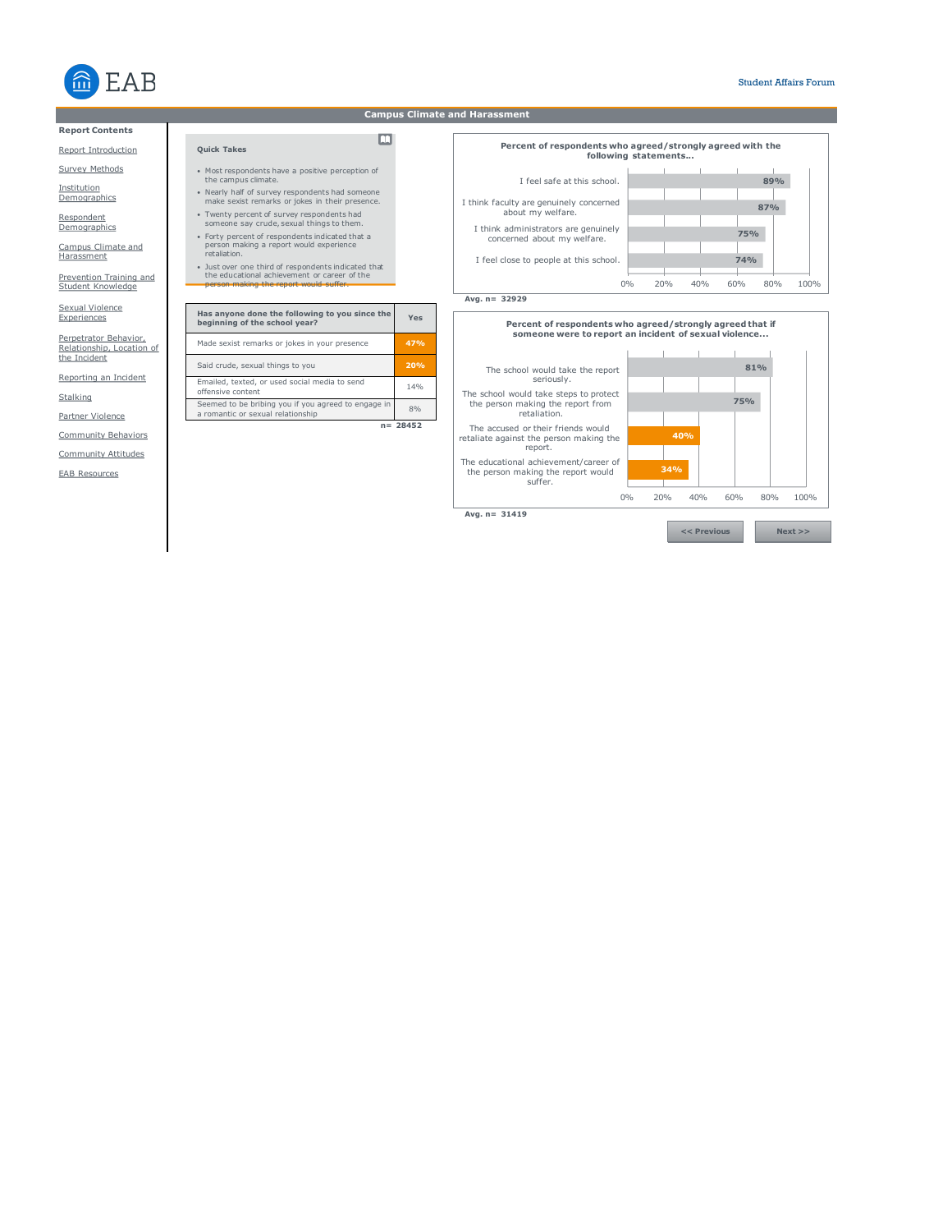

# **Report Contents**

#### Report Introduction

Survey Methods

Institution<br>Demographics

Respondent **Demographics** 

Campus Climate and **Harassment** 

Prevention Training and Student Knowledge

Sexual Violence **Experiences** 

Perpetrator Behavior, Relationship, Location of the Incident

Reporting an Incident

**Stalking** 

Partner Violence

Community Behaviors

Community Attitudes

EAB Resources

# **Campus Climate and Harassment**

 $\Box$ 

- Most respondents have a positive perception of the campus climate.
- Nearly half of survey respondents had someone make sexist remarks or jokes in their presence.
- Twenty percent of survey respondents had someone say crude, sexual things to them.
- Forty percent of respondents indicated that a person making a report would experience retaliation.
- 

• Just over one third of respondents indicated that the educational achievement or career of the person making the report would suffer.

| Has anyone done the following to you since the<br>beginning of the school year?          | Yes       |
|------------------------------------------------------------------------------------------|-----------|
| Made sexist remarks or jokes in your presence                                            | 47%       |
| Said crude, sexual things to you                                                         | 20%       |
| Emailed, texted, or used social media to send<br>offensive content                       | 14%       |
| Seemed to be bribing you if you agreed to engage in<br>a romantic or sexual relationship | 8%        |
|                                                                                          | ר בו 2017 |



**Avg. n= 32929**

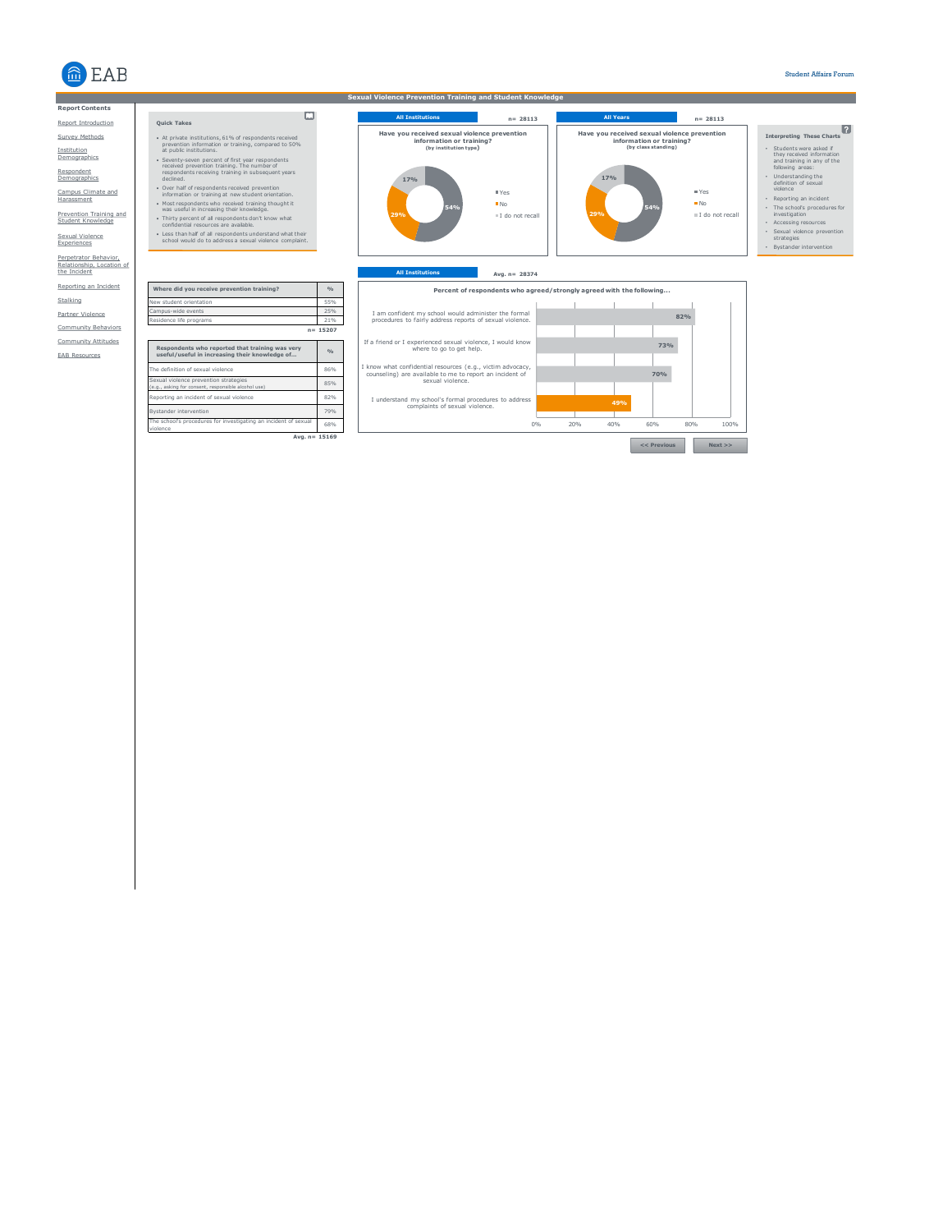



**Quick Takes**

Institution Demographics

Respondent<br>Demographics

Campus Climate and Harassment

Prevention Training and Student Knowledge

Sexual Violence Experiences Perpetrator Behavior, Relationship, Location of the Incident Reporting an Incident

Stalking Partner Violence

Community Attitudes Community Behaviors

EAB Resources

**All Institutions n= 28113 All Years n= 28113 Interpreting These Charts** • Students were asked if<br>
they received information<br>
and training in any of the<br>
following areas:<br>
• Understanding the<br>
definition of sexual<br>
violence<br>
• Reporting an incident • The school's procedures for<br>• Accessing resources<br>• Sexual violence prevention<br>• Strategies<br>• Bystander intervention **54% 29% 17% Have you received sexual violence prevention information or training? (by class standing)** Yes No I do not recall **54% 29% 17% Have you received sexual violence prevention information or training? (by institution type)** Yes No I do not recall

**Sexual Violence Prevention Training and Student Knowledge**



• At private institutions, 61% of respondents received prevention information or training, compared to 50% at public institutions. • Seventy-seven percent of first year respondents received prevention training. The number of respondents receiving training in subsequent years declined. • Over half of respondents received prevention information or training at new student orientation.

 $\Box$ 

• Most respondents who received training thought it<br>was useful in increasing their knowledge.<br>• Thirty percent of all respondents don't know what<br>confidential resources are available.<br>• Less than half of all respondents un

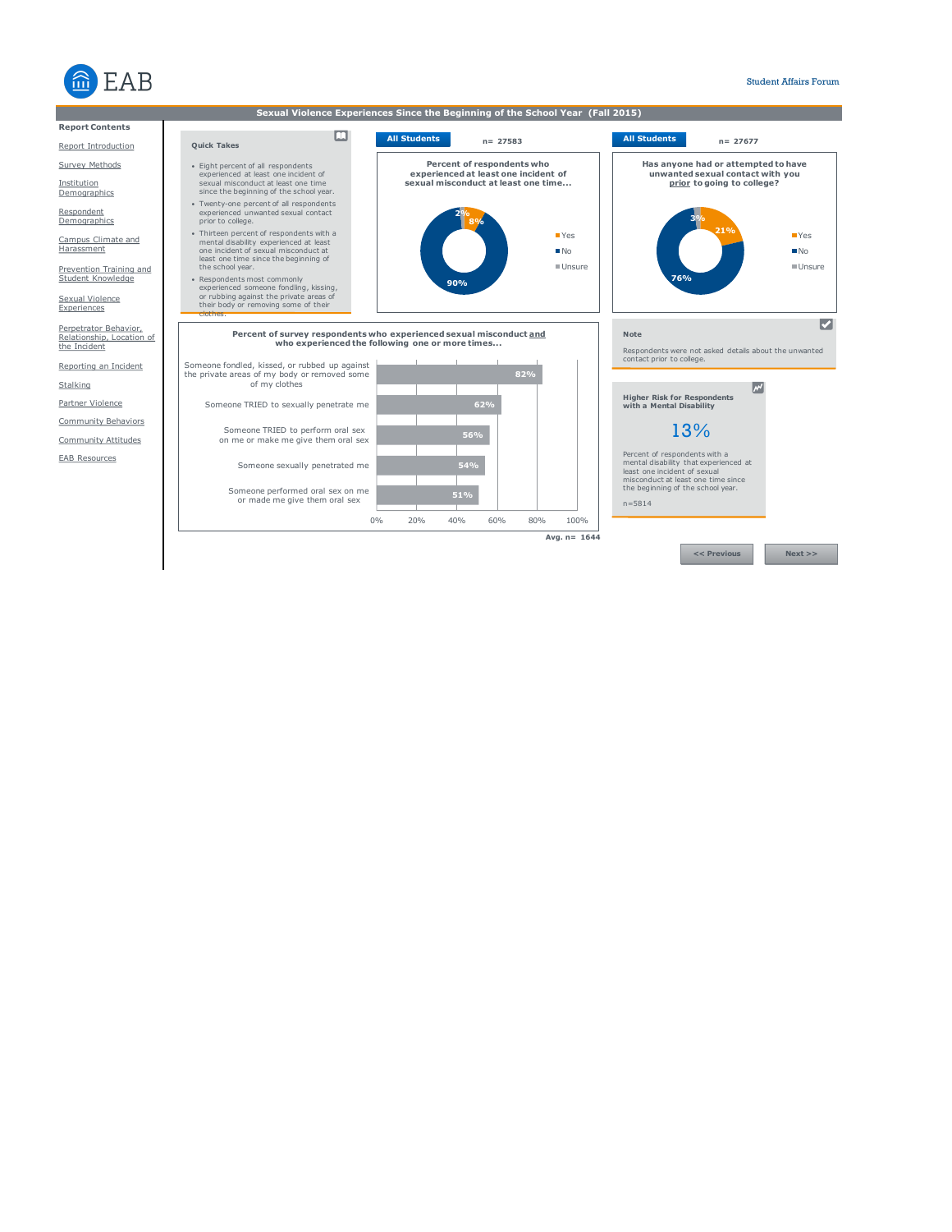

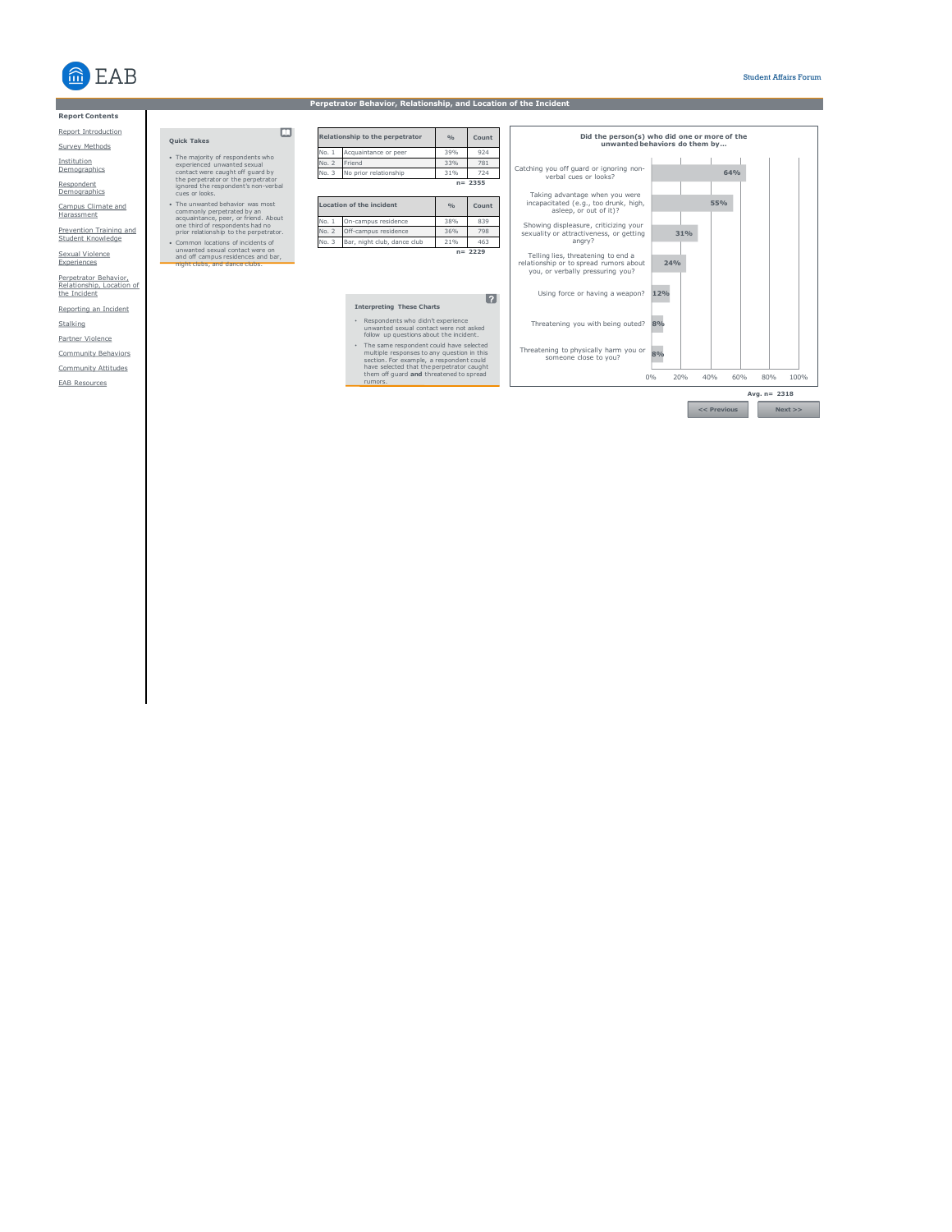

## **Report Contents**

#### Report Introduction

Survey Methods

Institution<br>Demographics

Respondent<br>Demographics

Campus Climate and Harassment

Prevention Training and Student Knowledge

Sexual Violence Experiences

Perpetrator Behavior, Relationship, Location of the Incident

Reporting an Incident

**Stalking** 

Partner Violence

Community Attitudes Community Behaviors

EAB Resources

# $\Box$ • The majority of respondents who experienced unwanted sexual contact were caught off guard by the perpetrator or the perpetrator ignored the respondent's non-verbal cues or looks.

- 
- The unwanted behavior was most<br>commonly perpetrated by an<br>acquaintance, peer, or friend. About<br>one third of respondents had no<br>prior relationship to the perpetrator.<br>Common locations of incidents of<br>unwanted sexual conta
- 

| No. 1         | Acquaintance or peer            | 39%           | 924        |
|---------------|---------------------------------|---------------|------------|
| No. 2         | Friend                          | 33%           | 781        |
| No. 3         | No prior relationship           | 31%           | 724        |
|               |                                 |               | $n = 2355$ |
|               | <b>Location of the incident</b> | $\frac{0}{0}$ | Count      |
|               |                                 |               |            |
|               | On-campus residence             | 38%           | 839        |
| No.1<br>No. 2 | Off-campus residence            | 36%           | 798        |
| No. 3         | Bar, night club, dance club     | 21%           | 463        |

**Relationship to the perpetrator**

**% Count**

**Perpetrator Behavior, Relationship, and Location of the Incident**

# **Interpreting These Charts**

• Respondents who didn't experience<br>
unwanted sexual contact were not asked<br>
follow up questions about the incident.<br>
The same respondent could have selected<br>
multiple responses to any question in this<br>
section. For exampl

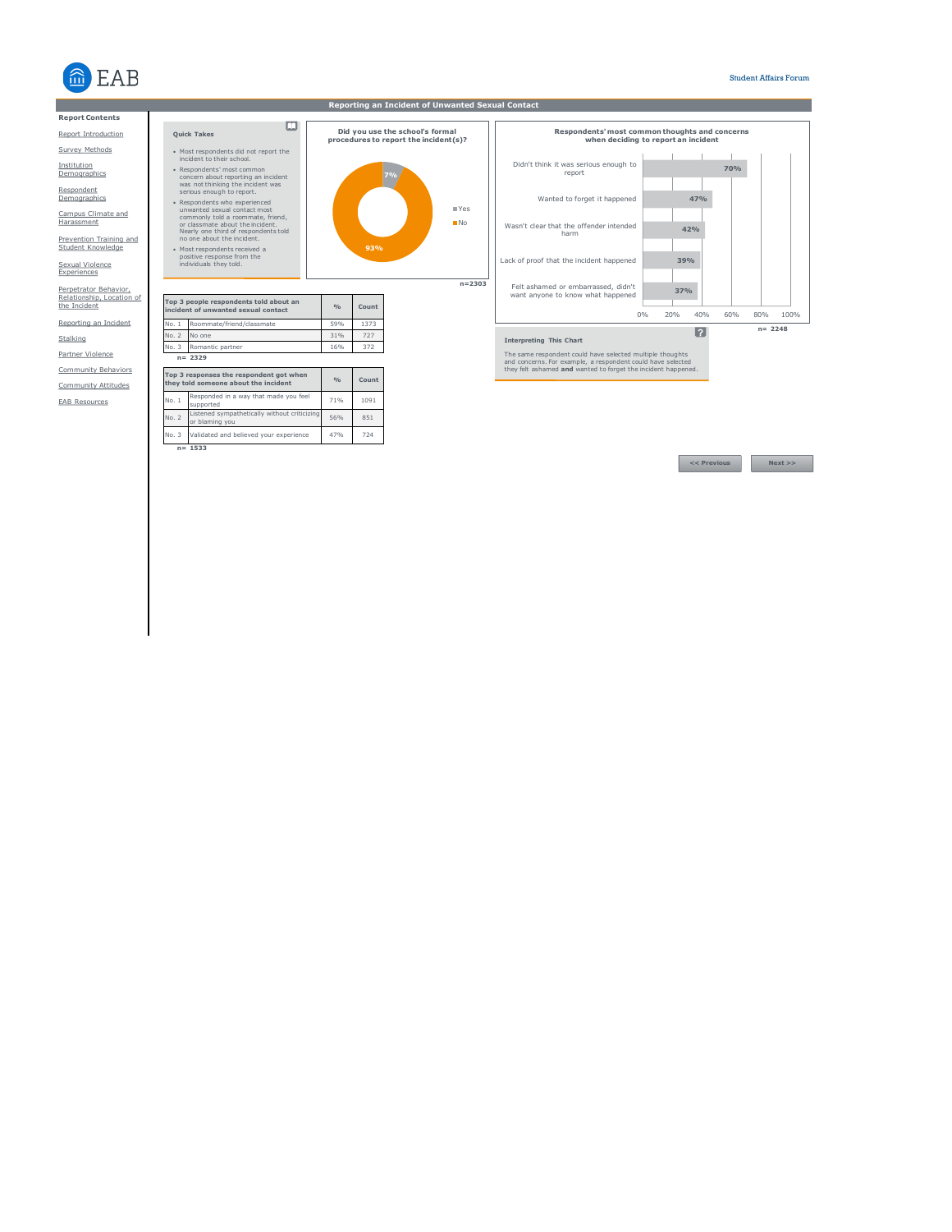

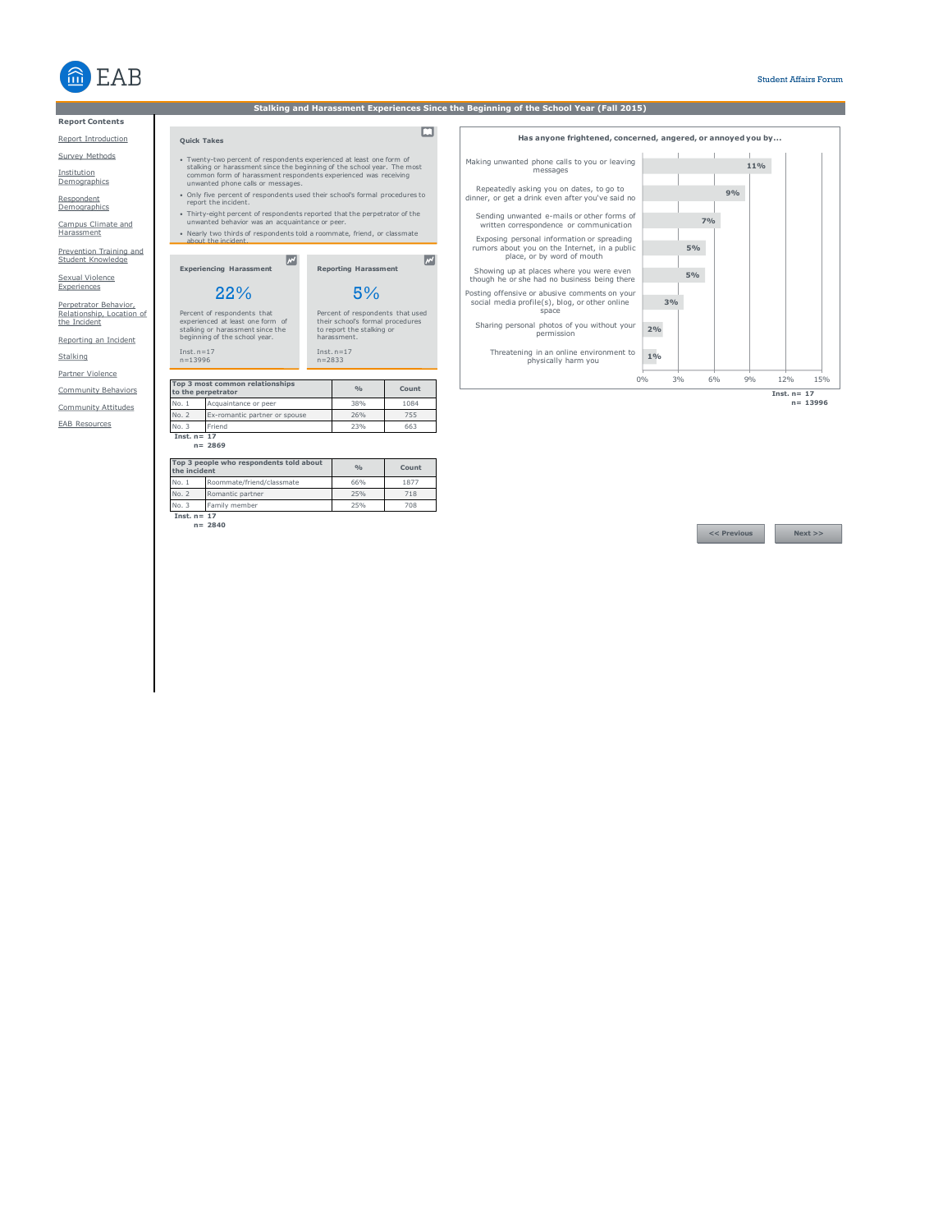

**Report Contents**

Report Introduction

Survey Methods

Institution **Demographics** 

Respondent **Demographics** 

Campus Climate and Harassment

Prevention Training and Student Knowledge

Sexual Violence<br>Experiences

Perpetrator Behavior, Relationship, Location of the Incident

Reporting an Incident

Stalking Partner Violence

Community Behaviors

Community Attitudes

EAB Resources

• Twenty-two percent of respondents experienced at least one form of<br>stalking or harassment since the beginning of the school year. The most<br>common form of harassment respondents experienced was receiving<br>unwanted phone ca

- Only five percent of respondents used their school's formal procedures to report the incident.
- Thirty-eight percent of respondents reported that the perpetrator of the unwanted behavior was an acquaintance or peer. • Nearly two thirds of respondents told a roommate, friend, or classmate about the incident.

 $\overline{\mathbb{R}}$ 

**Experiencing Harassment** 22%

5%

**Reporting Harassment**

Percent of respondents that used their school's formal procedures to report the stalking or harassment.

 $\boxed{\mathcal{M}}$ 

Percent of respondents that experienced at least one form of stalking or harassment since the beginning of the school year.

Inst. n=17 n=2833

|       | Top 3 most common relationships<br>to the perpetrator | O(n) | Count |
|-------|-------------------------------------------------------|------|-------|
| No. 1 | Acquaintance or peer                                  | 38%  | 1084  |
| No. 2 | Ex-romantic partner or spouse                         | 26%  | 755   |
| No. 3 | Friend                                                | 23%  | 663   |

**Inst. n= 17 n= 2869**

| the incident  | Top 3 people who respondents told about | O(n) | Count |
|---------------|-----------------------------------------|------|-------|
| No. 1         | Roommate/friend/classmate               | 66%  | 1877  |
| No. 2         | Romantic partner                        | 25%  | 718   |
| No. 3         | Family member                           | 25%  | 708   |
| Tnet $n = 17$ |                                         |      |       |

**Inst. n= 17 n= 2840**

Inst. n=17 n=13996

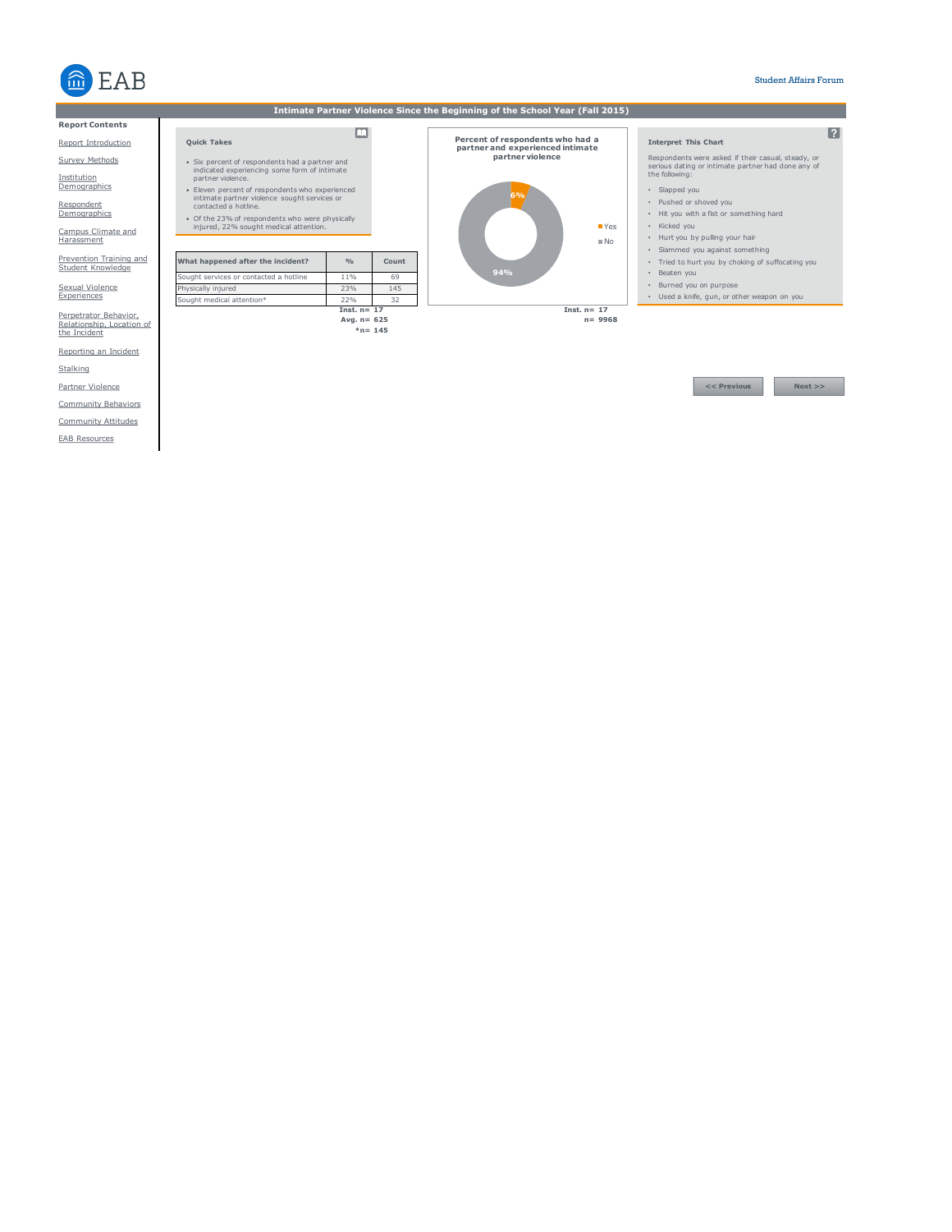

| Intimate Partner Violence Since the Beginning of the School Year (Fall 2015) |                                                                                                 |                |           |                                                                      |                                                                                                          |
|------------------------------------------------------------------------------|-------------------------------------------------------------------------------------------------|----------------|-----------|----------------------------------------------------------------------|----------------------------------------------------------------------------------------------------------|
| <b>Report Contents</b>                                                       |                                                                                                 |                |           |                                                                      |                                                                                                          |
| Report Introduction                                                          | <b>Ouick Takes</b>                                                                              |                |           | Percent of respondents who had a<br>partner and experienced intimate | 12.<br><b>Interpret This Chart</b>                                                                       |
| Survey Methods                                                               | • Six percent of respondents had a partner and<br>indicated experiencing some form of intimate  |                |           | partner violence                                                     | Respondents were asked if their casual, steady, or<br>serious dating or intimate partner had done any of |
| Institution                                                                  | partner violence.                                                                               |                |           |                                                                      | the following:                                                                                           |
| Demographics                                                                 | · Eleven percent of respondents who experienced<br>intimate partner violence sought services or |                |           |                                                                      | · Slapped you                                                                                            |
| Respondent                                                                   | contacted a hotline.                                                                            |                |           |                                                                      | • Pushed or shoved you                                                                                   |
| Demographics                                                                 | • Of the 23% of respondents who were physically                                                 |                |           |                                                                      | . Hit you with a fist or something hard                                                                  |
| Campus Climate and                                                           | injured, 22% sought medical attention.                                                          |                |           | <b>TYes</b>                                                          | • Kicked you                                                                                             |
| Harassment                                                                   |                                                                                                 |                |           | N <sub>0</sub>                                                       | • Hurt you by pulling your hair                                                                          |
| Prevention Training and                                                      |                                                                                                 | O/p            | Count     |                                                                      | · Slammed you against something<br>· Tried to hurt you by choking of suffocating you                     |
| Student Knowledge                                                            | What happened after the incident?                                                               |                |           | 94%                                                                  | • Beaten you                                                                                             |
|                                                                              | Sought services or contacted a hotline                                                          | 11%            | 69        |                                                                      | * Burned you on purpose                                                                                  |
| Sexual Violence<br>Experiences                                               | Physically injured                                                                              | 23%<br>22%     | 145<br>32 |                                                                      | · Used a knife, qun, or other weapon on you                                                              |
|                                                                              | Sought medical attention*                                                                       | Inst. $n = 17$ |           | Inst. $n = 17$                                                       |                                                                                                          |
| Perpetrator Behavior,<br>Relationship, Location of                           |                                                                                                 | Avg. $n = 625$ |           | $n = 9968$                                                           |                                                                                                          |
| the Incident                                                                 |                                                                                                 | $*n = 145$     |           |                                                                      |                                                                                                          |
|                                                                              |                                                                                                 |                |           |                                                                      |                                                                                                          |
| Reporting an Incident                                                        |                                                                                                 |                |           |                                                                      |                                                                                                          |
| Stalking                                                                     |                                                                                                 |                |           |                                                                      |                                                                                                          |
| Partner Violence                                                             |                                                                                                 |                |           |                                                                      | $<<$ Previous<br>Next                                                                                    |

Community Behaviors

Community Attitudes

EAB Resources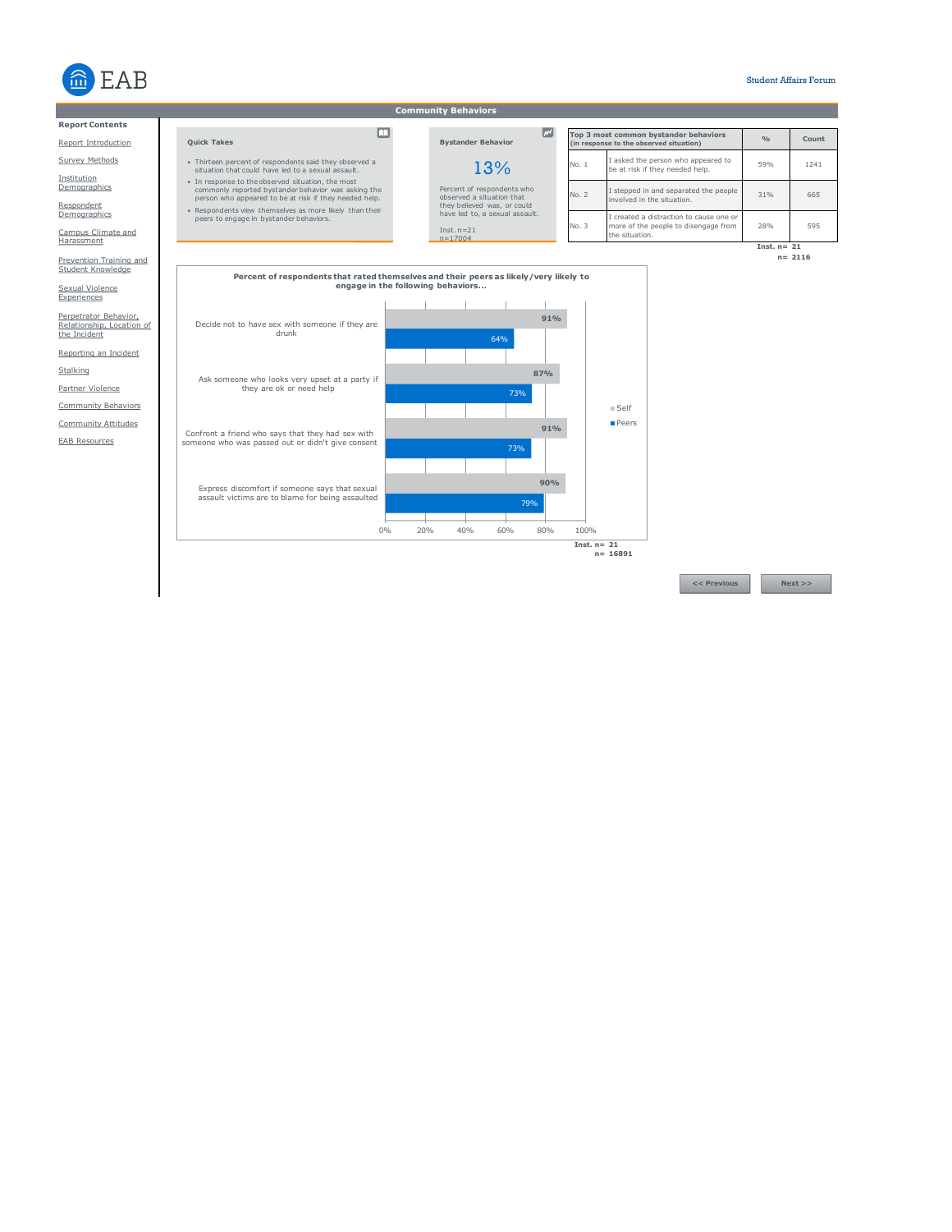

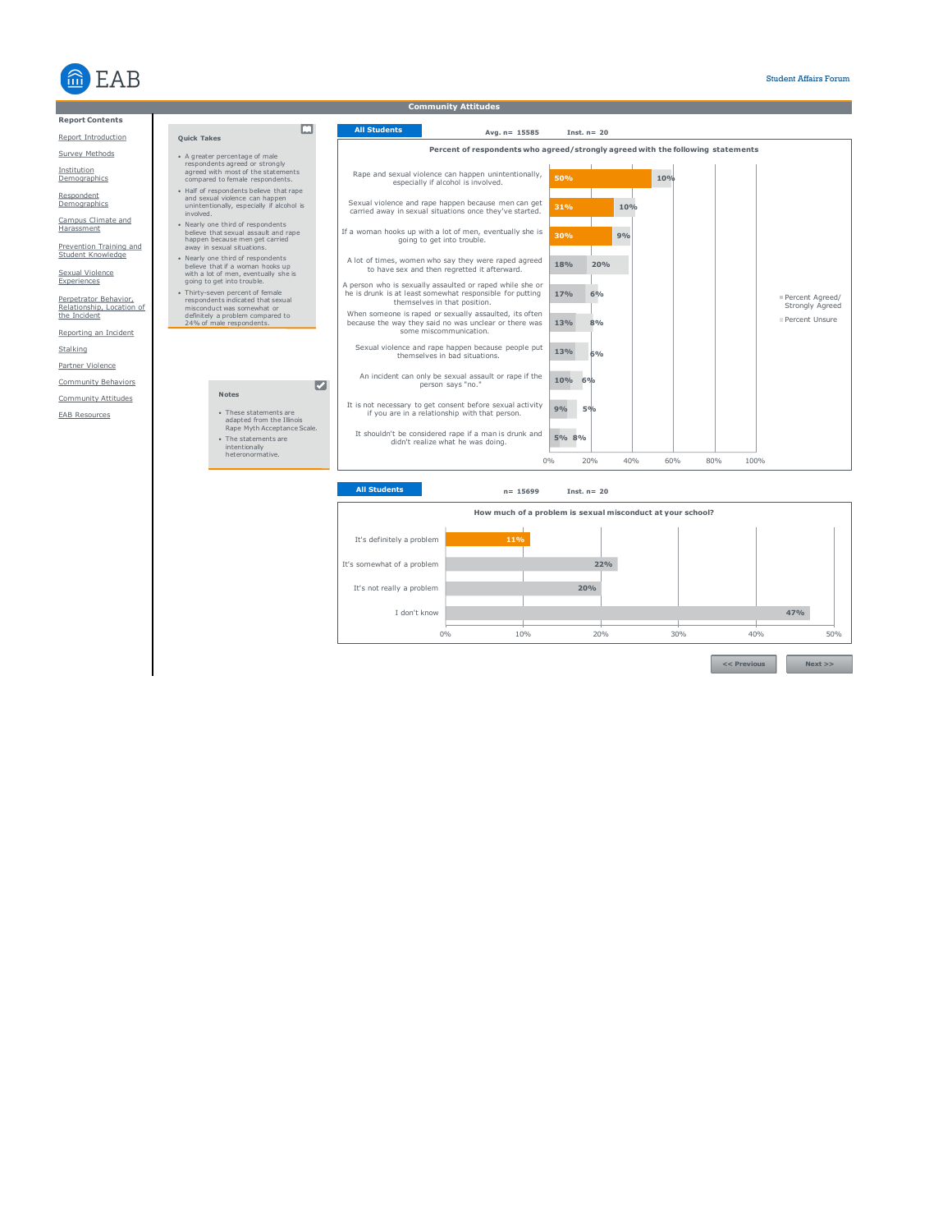



**<< Previous Next >>**

0% 10% 20% 30% 40% 50%